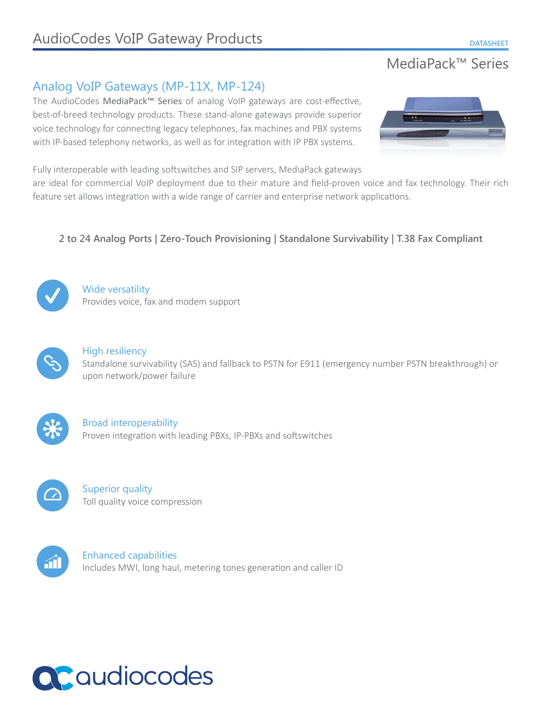# MediaPack™ Series

# Analog VoIP Gateways (MP-11X, MP-124)

The AudioCodes MediaPack™ Series of analog VoIP gateways are cost-effective, best-of-breed technology products. These stand-alone gateways provide superior voice technology for connecting legacy telephones, fax machines and PBX systems with IP-based telephony networks, as well as for integration with IP PBX systems.

Fully interoperable with leading softswitches and SIP servers, MediaPack gateways

are ideal for commercial VoIP deployment due to their mature and field-proven voice and fax technology. Their rich feature set allows integration with a wide range of carrier and enterprise network applications.

## **2 to 24 Analog Ports | Zero-Touch Provisioning | Standalone Survivability | T.38 Fax Compliant**



Wide versatility Provides voice, fax and modem support



## High resiliency

Standalone survivability (SAS) and fallback to PSTN for E911 (emergency number PSTN breakthrough) or upon network/power failure



Broad interoperability Proven integration with leading PBXs, IP-PBXs and softswitches



Superior quality Toll quality voice compression



Enhanced capabilities Includes MWI, long haul, metering tones generation and caller ID